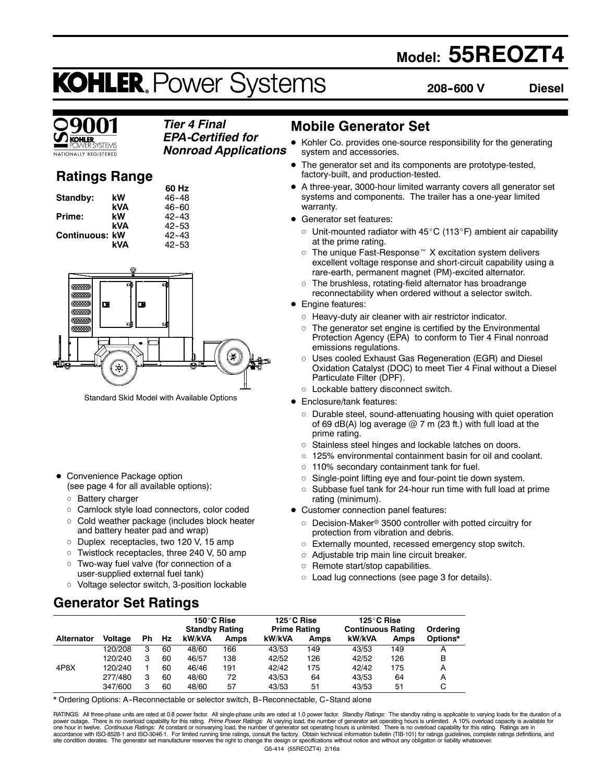## **Model: 55REOZT4**

## **KOHLER. Power Systems**

**208--600 V Diesel**

### *Tier 4 Final EPA-Certified for*

**IONALLY REGISTERED** 

*Nonroad Applications*

## **Ratings Range**

|                       |     | 60 Hz     |
|-----------------------|-----|-----------|
| Standby:              | kW  | $46 - 48$ |
|                       | kVA | 46-60     |
| Prime:                | kW  | $42 - 43$ |
|                       | kVA | $42 - 53$ |
| <b>Continuous: kW</b> |     | 42-43     |
|                       | kVA | $42 - 53$ |



Standard Skid Model with Available Options

- Convenience Package option (see page 4 for all available options):
	- o Battery charger
	- o Camlock style load connectors, color coded
	- $\circ$  Cold weather package (includes block heater and battery heater pad and wrap)
	- o Duplex receptacles, two 120 V, 15 amp
	- $\circ$  Twistlock receptacles, three 240 V, 50 amp
	- o Two-way fuel valve (for connection of a user-supplied external fuel tank)
	- o Voltage selector switch, 3-position lockable

## **Generator Set Ratings**

## **Mobile Generator Set**

- Kohler Co. provides one-source responsibility for the generating system and accessories.
- The generator set and its components are prototype-tested, factory-built, and production-tested.
- A three-year, 3000-hour limited warranty covers all generator set systems and components. The trailer has a one-year limited warranty.
- Generator set features:
	- $\circ$  Unit-mounted radiator with 45 $\rm{^{\circ}C}$  (113 $\rm{^{\circ}F}$ ) ambient air capability at the prime rating.
	- $\circ$  The unique Fast-Response<sup> $M$ </sup> X excitation system delivers excellent voltage response and short-circuit capability using a rare-earth, permanent magnet (PM)-excited alternator.
	- $\circ$  The brushless, rotating-field alternator has broadrange reconnectability when ordered without a selector switch.
- Engine features:
	- $\circ$  Heavy-duty air cleaner with air restrictor indicator.
	- $\circ$  The generator set engine is certified by the Environmental Protection Agency (EPA) to conform to Tier 4 Final nonroad emissions regulations.
	- o Uses cooled Exhaust Gas Regeneration (EGR) and Diesel Oxidation Catalyst (DOC) to meet Tier 4 Final without a Diesel Particulate Filter (DPF).
	- o Lockable battery disconnect switch.
- Enclosure/tank features:
	- $\circ$  Durable steel, sound-attenuating housing with quiet operation of 69 dB(A) log average  $@7$  m (23 ft.) with full load at the prime rating.
	- o Stainless steel hinges and lockable latches on doors.
	- $\circ$  125% environmental containment basin for oil and coolant.
	- $\circ$  110% secondary containment tank for fuel.
	- o Single-point lifting eye and four-point tie down system.
	- $\circ$  Subbase fuel tank for 24-hour run time with full load at prime rating (minimum).
- Customer connection panel features:
	- $\circ$  Decision-Maker® 3500 controller with potted circuitry for protection from vibration and debris.
	- $\circ$  Externally mounted, recessed emergency stop switch.
	- $\circ$  Adjustable trip main line circuit breaker.
	- $\circ$  Remote start/stop capabilities.
	- $\circ$  Load lug connections (see page 3 for details).

|                   |         |    |    | 150°C Rise<br><b>Standby Rating</b> |             | 125°C Rise<br><b>Prime Rating</b> |      | 125°C Rise<br><b>Continuous Rating</b> |      | Orderina |
|-------------------|---------|----|----|-------------------------------------|-------------|-----------------------------------|------|----------------------------------------|------|----------|
| <b>Alternator</b> | Voltage | Ph | Hz | kW/kVA                              | <b>Amps</b> | kW/kVA                            | Amps | kW/kVA                                 | Amps | Options* |
|                   | 120/208 | з  | 60 | 48/60                               | 166         | 43/53                             | 149  | 43/53                                  | 149  |          |
|                   | 120/240 | 3  | 60 | 46/57                               | 138         | 42/52                             | 126  | 42/52                                  | 126  | в        |
| 4P8X              | 120/240 |    | 60 | 46/46                               | 191         | 42/42                             | 175  | 42/42                                  | 175  | А        |
|                   | 277/480 | з  | 60 | 48/60                               | 72          | 43/53                             | 64   | 43/53                                  | 64   | A        |
|                   | 347/600 | з  | 60 | 48/60                               | 57          | 43/53                             | 51   | 43/53                                  | 51   |          |

\* Ordering Options: A--Reconnectable or selector switch, B--Reconnectable, C--Stand alone

G5-414 (55REOZT4) 2/16a RATINGS: All three-phase units are rated at 0.8 power factor. All single-phase units are rated at 1.0 power factor. Standby Ratings: The standby rating is applicable to varying loads for the duration of a power outage. There is no overload capability for this rating. *Prime Power Ratings:* At varying load, the number of generator set operating hours is unlimited. A 10% overload capacity is available for<br>one hour in twelve.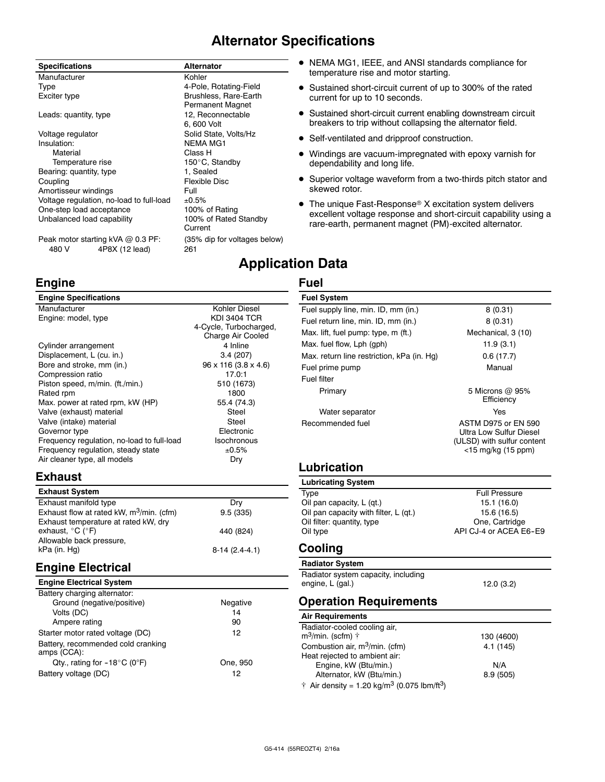## **Alternator Specifications**

| <b>Specifications</b>                    | <b>Alternator</b>                                |
|------------------------------------------|--------------------------------------------------|
| Manufacturer                             | Kohler                                           |
| Type                                     | 4-Pole, Rotating-Field                           |
| Exciter type                             | Brushless, Rare-Earth<br><b>Permanent Magnet</b> |
| Leads: quantity, type                    | 12, Reconnectable                                |
|                                          | 6,600 Volt                                       |
| Voltage regulator                        | Solid State, Volts/Hz                            |
| Insulation:                              | <b>NEMA MG1</b>                                  |
| Material                                 | Class H                                          |
| Temperature rise                         | 150°C, Standby                                   |
| Bearing: quantity, type                  | 1, Sealed                                        |
| Coupling                                 | <b>Flexible Disc</b>                             |
| Amortisseur windings                     | Full                                             |
| Voltage regulation, no-load to full-load | ±0.5%                                            |
| One-step load acceptance                 | 100% of Rating                                   |
| Unbalanced load capability               | 100% of Rated Standby<br>Current                 |
|                                          |                                                  |

Peak motor starting kVA @ 0.3 PF: (35% dip for voltages below) 480 V 4P8X (12 lead) 261

## **Engine**

## **Engine Specifications**

| Manufacturer                               | Kohler Diesel                    |
|--------------------------------------------|----------------------------------|
| Engine: model, type                        | <b>KDI 3404 TCR</b>              |
|                                            | 4-Cycle, Turbocharged,           |
|                                            | Charge Air Cooled                |
| Cylinder arrangement                       | 4 Inline                         |
| Displacement, L (cu. in.)                  | 3.4(207)                         |
| Bore and stroke, mm (in.)                  | $96 \times 116 (3.8 \times 4.6)$ |
| Compression ratio                          | 17.0:1                           |
| Piston speed, m/min. (ft./min.)            | 510 (1673)                       |
| Rated rpm                                  | 1800                             |
| Max. power at rated rpm, kW (HP)           | 55.4 (74.3)                      |
| Valve (exhaust) material                   | Steel                            |
| Valve (intake) material                    | Steel                            |
| Governor type                              | Electronic                       |
| Frequency regulation, no-load to full-load | <b>Isochronous</b>               |
| Frequency regulation, steady state         | ±0.5%                            |
| Air cleaner type, all models               | Dry                              |
|                                            |                                  |

## **Exhaust**

| <b>Exhaust System</b>                       |                 |
|---------------------------------------------|-----------------|
| Exhaust manifold type                       | Drv             |
| Exhaust flow at rated kW, $m^3$ /min. (cfm) | 9.5(335)        |
| Exhaust temperature at rated kW, dry        |                 |
| exhaust, °C (°F)                            | 440 (824)       |
| Allowable back pressure,                    |                 |
| kPa (in. Hg)                                | $8-14(2.4-4.1)$ |
|                                             |                 |

## **Engine Electrical**

| <b>Engine Electrical System</b>                   |          |
|---------------------------------------------------|----------|
| Battery charging alternator:                      |          |
| Ground (negative/positive)                        | Negative |
| Volts (DC)                                        | 14       |
| Ampere rating                                     | 90       |
| Starter motor rated voltage (DC)                  | 12       |
| Battery, recommended cold cranking<br>amps (CCA): |          |
| Qty., rating for $-18^{\circ}$ C (0°F)            | One, 950 |
| Battery voltage (DC)                              | 12       |

- NEMA MG1, IEEE, and ANSI standards compliance for temperature rise and motor starting.
- Sustained short-circuit current of up to 300% of the rated current for up to 10 seconds.
- **•** Sustained short-circuit current enabling downstream circuit breakers to trip without collapsing the alternator field.
- Self-ventilated and dripproof construction.
- Windings are vacuum-impregnated with epoxy varnish for dependability and long life.
- Superior voltage waveform from a two-thirds pitch stator and skewed rotor.
- $\bullet$  The unique Fast-Response® X excitation system delivers excellent voltage response and short-circuit capability using a rare-earth, permanent magnet (PM)-excited alternator.

## **Application Data**

## **Fuel**

| <b>Fuel System</b>                         |                                                                                                    |
|--------------------------------------------|----------------------------------------------------------------------------------------------------|
| Fuel supply line, min. ID, mm (in.)        | 8(0.31)                                                                                            |
| Fuel return line, min. ID, mm (in.)        | 8(0.31)                                                                                            |
| Max. lift, fuel pump: type, m (ft.)        | Mechanical, 3 (10)                                                                                 |
| Max. fuel flow, Lph (gph)                  | 11.9(3.1)                                                                                          |
| Max. return line restriction, kPa (in. Hg) | 0.6(17.7)                                                                                          |
| Fuel prime pump                            | Manual                                                                                             |
| Fuel filter                                |                                                                                                    |
| Primary                                    | 5 Microns @ 95%<br>Efficiency                                                                      |
| Water separator                            | Yes                                                                                                |
| Recommended fuel                           | ASTM D975 or FN 590<br>Ultra Low Sulfur Diesel<br>(ULSD) with sulfur content<br><15 mg/kg (15 ppm) |
| Lubrication                                |                                                                                                    |
| <b>Lubricating System</b>                  |                                                                                                    |
| Type                                       | <b>Full Pressure</b>                                                                               |
| Oil pan capacity, L (qt.)                  | 15.1 (16.0)                                                                                        |
| Oil pan capacity with filter, L (qt.)      | 15.6 (16.5)                                                                                        |
| Oil filter: quantity, type                 | One. Cartridge                                                                                     |

Oil type **API CJ-4 or ACEA E6-E9** 

## **Cooling**

## **Radiator System**

Oil filter: quantity, type

Radiator system capacity, including engine, L (gal.) 12.0 (3.2)

## **Operation Requirements**

| Air Requirements                                                    |            |
|---------------------------------------------------------------------|------------|
| Radiator-cooled cooling air,                                        |            |
| m <sup>3</sup> /min. (scfm) †                                       | 130 (4600) |
| Combustion air, m <sup>3</sup> /min. (cfm)                          | 4.1(145)   |
| Heat rejected to ambient air:                                       |            |
| Engine, kW (Btu/min.)                                               | N/A        |
| Alternator, kW (Btu/min.)                                           | 8.9(505)   |
| † Air density = 1.20 kg/m <sup>3</sup> (0.075 lbm/ft <sup>3</sup> ) |            |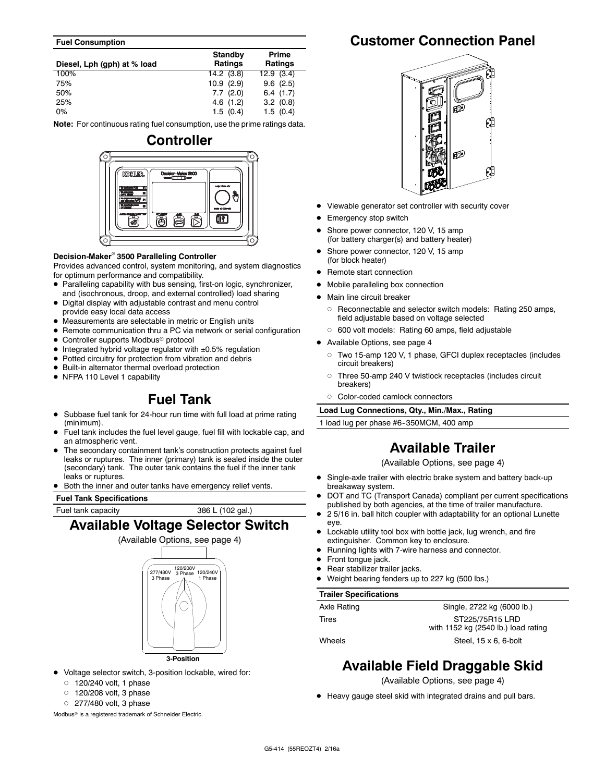#### **Fuel Consumption**

| Diesel, Lph (gph) at % load | <b>Standby</b><br><b>Ratings</b> | Prime<br><b>Ratings</b> |
|-----------------------------|----------------------------------|-------------------------|
| 100%                        | $14.2$ (3.8)                     | 12.9(3.4)               |
| 75%                         | 10.9(2.9)                        | 9.6(2.5)                |
| 50%                         | 7.7(2.0)                         | 6.4(1.7)                |
| 25%                         | 4.6(1.2)                         | 3.2(0.8)                |
| 0%                          | 1.5(0.4)                         | 1.5(0.4)                |

**Note:** For continuous rating fuel consumption, use the prime ratings data.

# **Controller KOUTLER OF**

#### **Decision-Maker<sup>®</sup> 3500 Paralleling Controller**

Provides advanced control, system monitoring, and system diagnostics for optimum performance and compatibility.

- Paralleling capability with bus sensing, first-on logic, synchronizer, and (isochronous, droop, and external controlled) load sharing
- Digital display with adjustable contrast and menu control provide easy local data access
- Measurements are selectable in metric or English units
- Remote communication thru a PC via network or serial configuration
- Controller supports Modbus<sup>®</sup> protocol
- $\bullet$  Integrated hybrid voltage regulator with  $\pm 0.5\%$  regulation
- $\bullet$  Potted circuitry for protection from vibration and debris
- $\bullet$  Built-in alternator thermal overload protection
- NFPA 110 Level 1 capability

## **Fuel Tank**

- Subbase fuel tank for 24-hour run time with full load at prime rating (minimum).
- Fuel tank includes the fuel level gauge, fuel fill with lockable cap, and an atmospheric vent.
- The secondary containment tank's construction protects against fuel leaks or ruptures. The inner (primary) tank is sealed inside the outer (secondary) tank. The outer tank contains the fuel if the inner tank leaks or ruptures.
- Both the inner and outer tanks have emergency relief vents.

#### **Fuel Tank Specifications**

Fuel tank capacity 386 L (102 gal.)

## **Available Voltage Selector Switch**



**3-Position**

- $\bullet$  Voltage selector switch, 3-position lockable, wired for:
	- $0$  120/240 volt, 1 phase
	- $0$  120/208 volt, 3 phase
	- $O$  277/480 volt, 3 phase

Modbus<sup>®</sup> is a registered trademark of Schneider Electric.

## **Customer Connection Panel**



- Viewable generator set controller with security cover
- Emergency stop switch
- Shore power connector, 120 V, 15 amp (for battery charger(s) and battery heater)
- Shore power connector, 120 V, 15 amp (for block heater)
- Remote start connection
- Mobile paralleling box connection
- Main line circuit breaker
- o Reconnectable and selector switch models: Rating 250 amps, field adjustable based on voltage selected
- $\circ$  600 volt models: Rating 60 amps, field adjustable
- Available Options, see page 4
	- d Two 15-amp 120 V, 1 phase, GFCI duplex receptacles (includes circuit breakers)
	- o Three 50-amp 240 V twistlock receptacles (includes circuit breakers)
	- o Color-coded camlock connectors

**Load Lug Connections, Qty., Min./Max., Rating**

1 load lug per phase #6-350MCM, 400 amp

## **Available Trailer**

(Available Options, see page 4)

- Single-axle trailer with electric brake system and battery back-up breakaway system.
- DOT and TC (Transport Canada) compliant per current specifications published by both agencies, at the time of trailer manufacture.
- 2 5/16 in. ball hitch coupler with adaptability for an optional Lunette eye.
- Lockable utility tool box with bottle jack, lug wrench, and fire extinguisher. Common key to enclosure.
- Running lights with 7-wire harness and connector.
- Front tongue jack.
- Rear stabilizer trailer jacks.
- Weight bearing fenders up to 227 kg (500 lbs.)

#### **Trailer Specifications**

| Axle Rating | Single, 2722 kg (6000 lb.)          |
|-------------|-------------------------------------|
| Tires       | ST225/75R15 LRD                     |
|             | with 1152 kg (2540 lb.) load rating |
| Wheels      | Steel, $15 \times 6$ , 6-bolt       |

**Available Field Draggable Skid**

(Available Options, see page 4)

• Heavy gauge steel skid with integrated drains and pull bars.